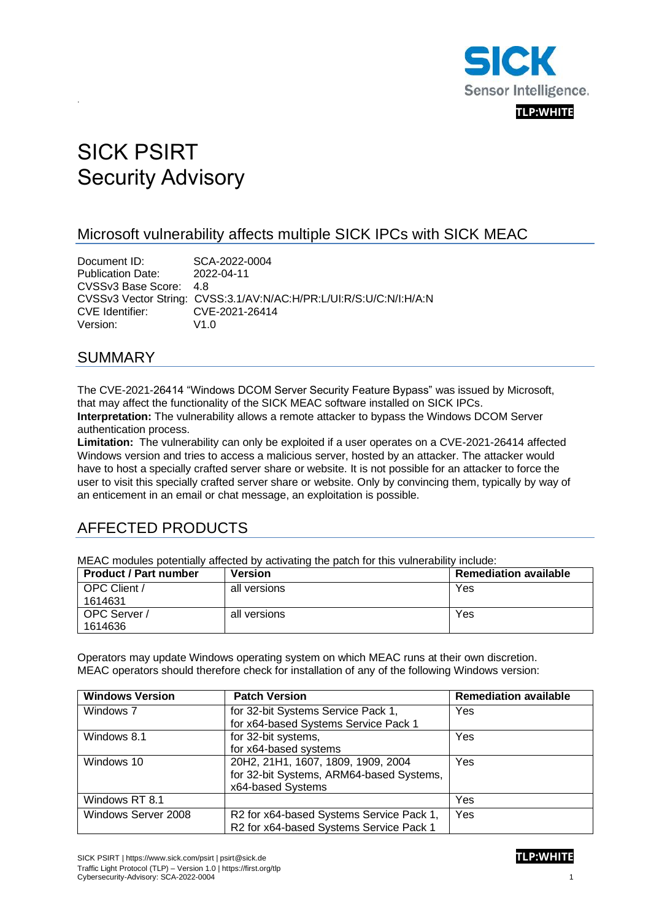

# SICK PSIRT Security Advisory

### Microsoft vulnerability affects multiple SICK IPCs with SICK MEAC

Document ID: SCA-2022-0004 Publication Date: 2022-04-11 CVSSv3 Base Score: 4.8 CVSSv3 Vector String: CVSS:3.1/AV:N/AC:H/PR:L/UI:R/S:U/C:N/I:H/A:N CVE Identifier: CVE-2021-26414 Version: V1.0

#### SUMMARY

.

The CVE-2021-26414 "Windows DCOM Server Security Feature Bypass" was issued by Microsoft, that may affect the functionality of the SICK MEAC software installed on SICK IPCs. **Interpretation:** The vulnerability allows a remote attacker to bypass the Windows DCOM Server authentication process.

**Limitation:** The vulnerability can only be exploited if a user operates on a CVE-2021-26414 affected Windows version and tries to access a malicious server, hosted by an attacker. The attacker would have to host a specially crafted server share or website. It is not possible for an attacker to force the user to visit this specially crafted server share or website. Only by convincing them, typically by way of an enticement in an email or chat message, an exploitation is possible.

# AFFECTED PRODUCTS

MEAC modules potentially affected by activating the patch for this vulnerability include:

| <b>Product / Part number</b> | <b>Version</b> | <b>Remediation available</b> |
|------------------------------|----------------|------------------------------|
| OPC Client /                 | all versions   | Yes                          |
| 1614631                      |                |                              |
| OPC Server /                 | all versions   | Yes                          |
| 1614636                      |                |                              |

Operators may update Windows operating system on which MEAC runs at their own discretion. MEAC operators should therefore check for installation of any of the following Windows version:

| <b>Windows Version</b> | <b>Patch Version</b>                     | <b>Remediation available</b> |
|------------------------|------------------------------------------|------------------------------|
| Windows 7              | for 32-bit Systems Service Pack 1,       | Yes                          |
|                        | for x64-based Systems Service Pack 1     |                              |
| Windows 8.1            | for 32-bit systems,                      | Yes                          |
|                        | for x64-based systems                    |                              |
| Windows 10             | 20H2, 21H1, 1607, 1809, 1909, 2004       | Yes                          |
|                        | for 32-bit Systems, ARM64-based Systems, |                              |
|                        | x64-based Systems                        |                              |
| Windows RT 8.1         |                                          | Yes                          |
| Windows Server 2008    | R2 for x64-based Systems Service Pack 1, | Yes                          |
|                        | R2 for x64-based Systems Service Pack 1  |                              |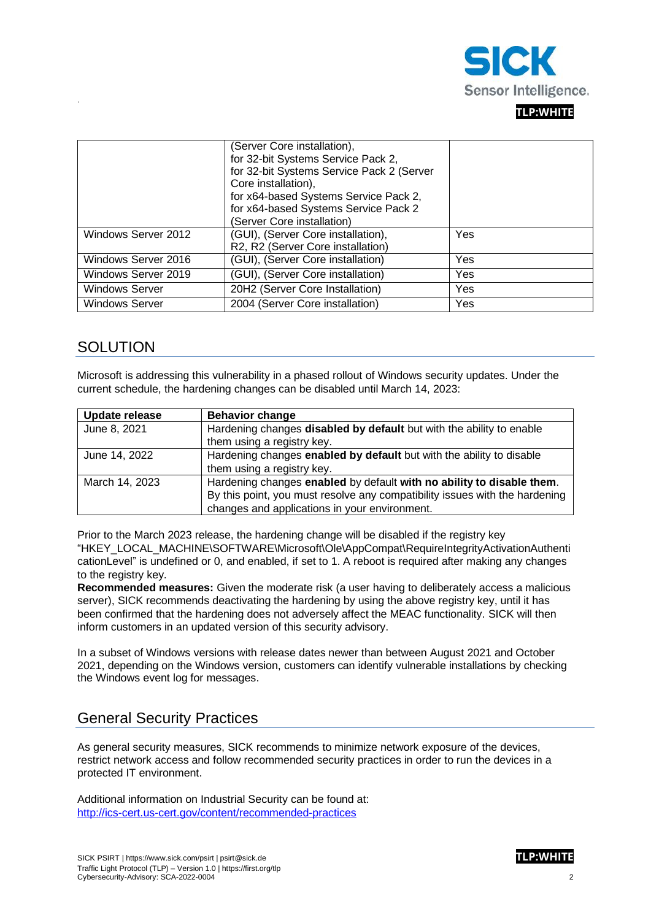

#### **TLP:WHITE**

|                       | (Server Core installation),<br>for 32-bit Systems Service Pack 2,<br>for 32-bit Systems Service Pack 2 (Server<br>Core installation),<br>for x64-based Systems Service Pack 2,<br>for x64-based Systems Service Pack 2 |     |
|-----------------------|------------------------------------------------------------------------------------------------------------------------------------------------------------------------------------------------------------------------|-----|
| Windows Server 2012   | (Server Core installation)<br>(GUI), (Server Core installation),                                                                                                                                                       | Yes |
|                       | R2, R2 (Server Core installation)                                                                                                                                                                                      |     |
| Windows Server 2016   | (GUI), (Server Core installation)                                                                                                                                                                                      | Yes |
| Windows Server 2019   | (GUI), (Server Core installation)                                                                                                                                                                                      | Yes |
| <b>Windows Server</b> | 20H2 (Server Core Installation)                                                                                                                                                                                        | Yes |
| <b>Windows Server</b> | 2004 (Server Core installation)                                                                                                                                                                                        | Yes |

#### **SOLUTION**

.

Microsoft is addressing this vulnerability in a phased rollout of Windows security updates. Under the current schedule, the hardening changes can be disabled until March 14, 2023:

| Update release | <b>Behavior change</b>                                                      |
|----------------|-----------------------------------------------------------------------------|
| June 8, 2021   | Hardening changes disabled by default but with the ability to enable        |
|                | them using a registry key.                                                  |
| June 14, 2022  | Hardening changes enabled by default but with the ability to disable        |
|                | them using a registry key.                                                  |
| March 14, 2023 | Hardening changes enabled by default with no ability to disable them.       |
|                | By this point, you must resolve any compatibility issues with the hardening |
|                | changes and applications in your environment.                               |

Prior to the March 2023 release, the hardening change will be disabled if the registry key "HKEY\_LOCAL\_MACHINE\SOFTWARE\Microsoft\Ole\AppCompat\RequireIntegrityActivationAuthenti cationLevel" is undefined or 0, and enabled, if set to 1. A reboot is required after making any changes to the registry key.

**Recommended measures:** Given the moderate risk (a user having to deliberately access a malicious server), SICK recommends deactivating the hardening by using the above registry key, until it has been confirmed that the hardening does not adversely affect the MEAC functionality. SICK will then inform customers in an updated version of this security advisory.

In a subset of Windows versions with release dates newer than between August 2021 and October 2021, depending on the Windows version, customers can identify vulnerable installations by checking the Windows event log for messages.

#### General Security Practices

As general security measures, SICK recommends to minimize network exposure of the devices, restrict network access and follow recommended security practices in order to run the devices in a protected IT environment.

Additional information on Industrial Security can be found at: <http://ics-cert.us-cert.gov/content/recommended-practices>